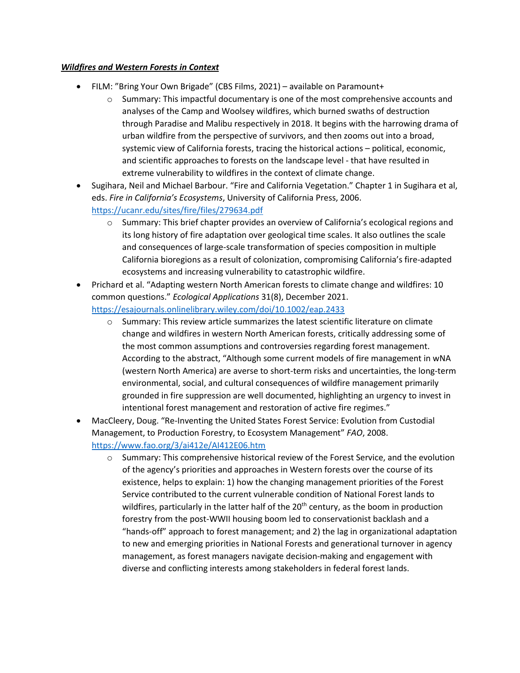## *Wildfires and Western Forests in Context*

- FILM: "Bring Your Own Brigade" (CBS Films, 2021) available on Paramount+
	- $\circ$  Summary: This impactful documentary is one of the most comprehensive accounts and analyses of the Camp and Woolsey wildfires, which burned swaths of destruction through Paradise and Malibu respectively in 2018. It begins with the harrowing drama of urban wildfire from the perspective of survivors, and then zooms out into a broad, systemic view of California forests, tracing the historical actions – political, economic, and scientific approaches to forests on the landscape level - that have resulted in extreme vulnerability to wildfires in the context of climate change.
- Sugihara, Neil and Michael Barbour. "Fire and California Vegetation." Chapter 1 in Sugihara et al, eds. *Fire in California's Ecosystems*, University of California Press, 2006. <https://ucanr.edu/sites/fire/files/279634.pdf>
	- o Summary: This brief chapter provides an overview of California's ecological regions and its long history of fire adaptation over geological time scales. It also outlines the scale and consequences of large-scale transformation of species composition in multiple California bioregions as a result of colonization, compromising California's fire-adapted ecosystems and increasing vulnerability to catastrophic wildfire.
- Prichard et al. "Adapting western North American forests to climate change and wildfires: 10 common questions." *Ecological Applications* 31(8), December 2021. <https://esajournals.onlinelibrary.wiley.com/doi/10.1002/eap.2433>
	- $\circ$  Summary: This review article summarizes the latest scientific literature on climate change and wildfires in western North American forests, critically addressing some of the most common assumptions and controversies regarding forest management. According to the abstract, "Although some current models of fire management in wNA (western North America) are averse to short-term risks and uncertainties, the long-term environmental, social, and cultural consequences of wildfire management primarily grounded in fire suppression are well documented, highlighting an urgency to invest in intentional forest management and restoration of active fire regimes."
- MacCleery, Doug. "Re-Inventing the United States Forest Service: Evolution from Custodial Management, to Production Forestry, to Ecosystem Management" *FAO*, 2008. <https://www.fao.org/3/ai412e/AI412E06.htm>
	- $\circ$  Summary: This comprehensive historical review of the Forest Service, and the evolution of the agency's priorities and approaches in Western forests over the course of its existence, helps to explain: 1) how the changing management priorities of the Forest Service contributed to the current vulnerable condition of National Forest lands to wildfires, particularly in the latter half of the  $20<sup>th</sup>$  century, as the boom in production forestry from the post-WWII housing boom led to conservationist backlash and a "hands-off" approach to forest management; and 2) the lag in organizational adaptation to new and emerging priorities in National Forests and generational turnover in agency management, as forest managers navigate decision-making and engagement with diverse and conflicting interests among stakeholders in federal forest lands.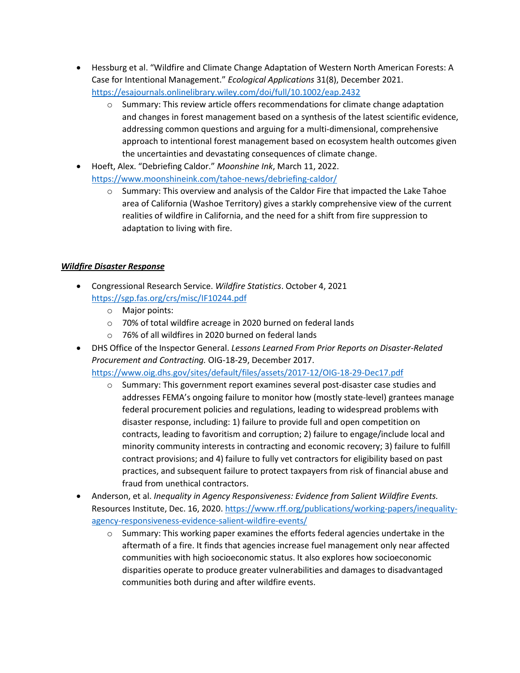- Hessburg et al. "Wildfire and Climate Change Adaptation of Western North American Forests: A Case for Intentional Management." *Ecological Applications* 31(8), December 2021. <https://esajournals.onlinelibrary.wiley.com/doi/full/10.1002/eap.2432>
	- $\circ$  Summary: This review article offers recommendations for climate change adaptation and changes in forest management based on a synthesis of the latest scientific evidence, addressing common questions and arguing for a multi-dimensional, comprehensive approach to intentional forest management based on ecosystem health outcomes given the uncertainties and devastating consequences of climate change.
- Hoeft, Alex. "Debriefing Caldor." *Moonshine Ink*, March 11, 2022. <https://www.moonshineink.com/tahoe-news/debriefing-caldor/>
	- $\circ$  Summary: This overview and analysis of the Caldor Fire that impacted the Lake Tahoe area of California (Washoe Territory) gives a starkly comprehensive view of the current realities of wildfire in California, and the need for a shift from fire suppression to adaptation to living with fire.

## *Wildfire Disaster Response*

- Congressional Research Service. *Wildfire Statistics*. October 4, 2021 <https://sgp.fas.org/crs/misc/IF10244.pdf>
	- o Major points:
	- o 70% of total wildfire acreage in 2020 burned on federal lands
	- o 76% of all wildfires in 2020 burned on federal lands
- DHS Office of the Inspector General. *Lessons Learned From Prior Reports on Disaster-Related Procurement and Contracting.* OIG-18-29, December 2017. <https://www.oig.dhs.gov/sites/default/files/assets/2017-12/OIG-18-29-Dec17.pdf>
	- $\circ$  Summary: This government report examines several post-disaster case studies and addresses FEMA's ongoing failure to monitor how (mostly state-level) grantees manage federal procurement policies and regulations, leading to widespread problems with disaster response, including: 1) failure to provide full and open competition on contracts, leading to favoritism and corruption; 2) failure to engage/include local and minority community interests in contracting and economic recovery; 3) failure to fulfill contract provisions; and 4) failure to fully vet contractors for eligibility based on past practices, and subsequent failure to protect taxpayers from risk of financial abuse and fraud from unethical contractors.
- Anderson, et al. *Inequality in Agency Responsiveness: Evidence from Salient Wildfire Events.* Resources Institute, Dec. 16, 2020. [https://www.rff.org/publications/working-papers/inequality](https://www.rff.org/publications/working-papers/inequality-agency-responsiveness-evidence-salient-wildfire-events/)[agency-responsiveness-evidence-salient-wildfire-events/](https://www.rff.org/publications/working-papers/inequality-agency-responsiveness-evidence-salient-wildfire-events/) 
	- $\circ$  Summary: This working paper examines the efforts federal agencies undertake in the aftermath of a fire. It finds that agencies increase fuel management only near affected communities with high socioeconomic status. It also explores how socioeconomic disparities operate to produce greater vulnerabilities and damages to disadvantaged communities both during and after wildfire events.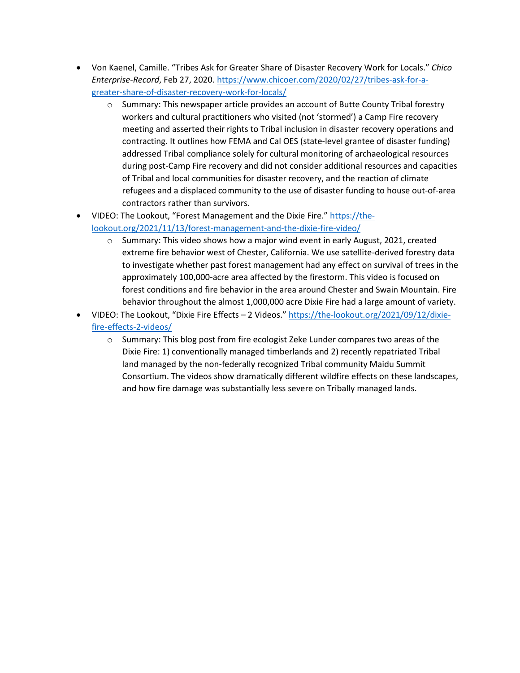- Von Kaenel, Camille. "Tribes Ask for Greater Share of Disaster Recovery Work for Locals." *Chico Enterprise-Record*, Feb 27, 2020[. https://www.chicoer.com/2020/02/27/tribes-ask-for-a](https://www.chicoer.com/2020/02/27/tribes-ask-for-a-greater-share-of-disaster-recovery-work-for-locals/)[greater-share-of-disaster-recovery-work-for-locals/](https://www.chicoer.com/2020/02/27/tribes-ask-for-a-greater-share-of-disaster-recovery-work-for-locals/) 
	- $\circ$  Summary: This newspaper article provides an account of Butte County Tribal forestry workers and cultural practitioners who visited (not 'stormed') a Camp Fire recovery meeting and asserted their rights to Tribal inclusion in disaster recovery operations and contracting. It outlines how FEMA and Cal OES (state-level grantee of disaster funding) addressed Tribal compliance solely for cultural monitoring of archaeological resources during post-Camp Fire recovery and did not consider additional resources and capacities of Tribal and local communities for disaster recovery, and the reaction of climate refugees and a displaced community to the use of disaster funding to house out-of-area contractors rather than survivors.
- VIDEO: The Lookout, "Forest Management and the Dixie Fire.[" https://the](https://the-lookout.org/2021/11/13/forest-management-and-the-dixie-fire-video/)[lookout.org/2021/11/13/forest-management-and-the-dixie-fire-video/](https://the-lookout.org/2021/11/13/forest-management-and-the-dixie-fire-video/) 
	- $\circ$  Summary: This video shows how a major wind event in early August, 2021, created extreme fire behavior west of Chester, California. We use satellite-derived forestry data to investigate whether past forest management had any effect on survival of trees in the approximately 100,000-acre area affected by the firestorm. This video is focused on forest conditions and fire behavior in the area around Chester and Swain Mountain. Fire behavior throughout the almost 1,000,000 acre Dixie Fire had a large amount of variety.
- VIDEO: The Lookout, "Dixie Fire Effects 2 Videos." [https://the-lookout.org/2021/09/12/dixie](https://the-lookout.org/2021/09/12/dixie-fire-effects-2-videos/)[fire-effects-2-videos/](https://the-lookout.org/2021/09/12/dixie-fire-effects-2-videos/) 
	- $\circ$  Summary: This blog post from fire ecologist Zeke Lunder compares two areas of the Dixie Fire: 1) conventionally managed timberlands and 2) recently repatriated Tribal land managed by the non-federally recognized Tribal community Maidu Summit Consortium. The videos show dramatically different wildfire effects on these landscapes, and how fire damage was substantially less severe on Tribally managed lands.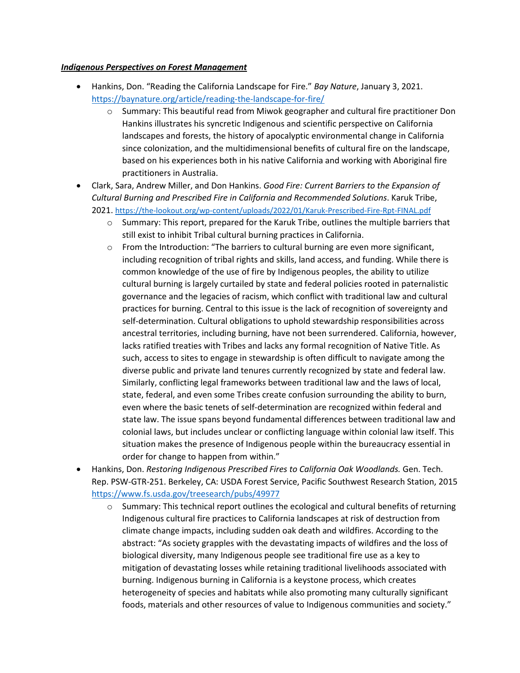## *Indigenous Perspectives on Forest Management*

- Hankins, Don. "Reading the California Landscape for Fire." *Bay Nature*, January 3, 2021. <https://baynature.org/article/reading-the-landscape-for-fire/>
	- $\circ$  Summary: This beautiful read from Miwok geographer and cultural fire practitioner Don Hankins illustrates his syncretic Indigenous and scientific perspective on California landscapes and forests, the history of apocalyptic environmental change in California since colonization, and the multidimensional benefits of cultural fire on the landscape, based on his experiences both in his native California and working with Aboriginal fire practitioners in Australia.
- Clark, Sara, Andrew Miller, and Don Hankins. *Good Fire: Current Barriers to the Expansion of Cultural Burning and Prescribed Fire in California and Recommended Solutions*. Karuk Tribe, 2021[. https://the-lookout.org/wp-content/uploads/2022/01/Karuk-Prescribed-Fire-Rpt-FINAL.pdf](https://the-lookout.org/wp-content/uploads/2022/01/Karuk-Prescribed-Fire-Rpt-FINAL.pdf)
	- o Summary: This report, prepared for the Karuk Tribe, outlines the multiple barriers that still exist to inhibit Tribal cultural burning practices in California.
	- $\circ$  From the Introduction: "The barriers to cultural burning are even more significant, including recognition of tribal rights and skills, land access, and funding. While there is common knowledge of the use of fire by Indigenous peoples, the ability to utilize cultural burning is largely curtailed by state and federal policies rooted in paternalistic governance and the legacies of racism, which conflict with traditional law and cultural practices for burning. Central to this issue is the lack of recognition of sovereignty and self-determination. Cultural obligations to uphold stewardship responsibilities across ancestral territories, including burning, have not been surrendered. California, however, lacks ratified treaties with Tribes and lacks any formal recognition of Native Title. As such, access to sites to engage in stewardship is often difficult to navigate among the diverse public and private land tenures currently recognized by state and federal law. Similarly, conflicting legal frameworks between traditional law and the laws of local, state, federal, and even some Tribes create confusion surrounding the ability to burn, even where the basic tenets of self-determination are recognized within federal and state law. The issue spans beyond fundamental differences between traditional law and colonial laws, but includes unclear or conflicting language within colonial law itself. This situation makes the presence of Indigenous people within the bureaucracy essential in order for change to happen from within."
- Hankins, Don. *Restoring Indigenous Prescribed Fires to California Oak Woodlands.* Gen. Tech. Rep. PSW-GTR-251. Berkeley, CA: USDA Forest Service, Pacific Southwest Research Station, 2015 <https://www.fs.usda.gov/treesearch/pubs/49977>
	- $\circ$  Summary: This technical report outlines the ecological and cultural benefits of returning Indigenous cultural fire practices to California landscapes at risk of destruction from climate change impacts, including sudden oak death and wildfires. According to the abstract: "As society grapples with the devastating impacts of wildfires and the loss of biological diversity, many Indigenous people see traditional fire use as a key to mitigation of devastating losses while retaining traditional livelihoods associated with burning. Indigenous burning in California is a keystone process, which creates heterogeneity of species and habitats while also promoting many culturally significant foods, materials and other resources of value to Indigenous communities and society."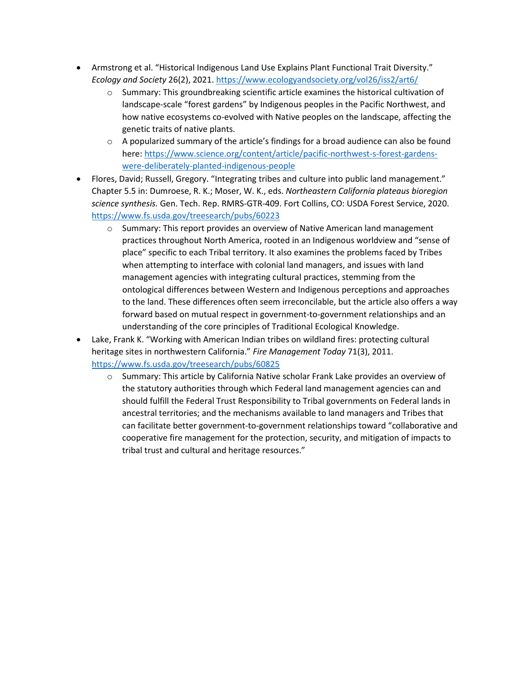- Armstrong et al. "Historical Indigenous Land Use Explains Plant Functional Trait Diversity." *Ecology and Society* 26(2), 2021[. https://www.ecologyandsociety.org/vol26/iss2/art6/](https://www.ecologyandsociety.org/vol26/iss2/art6/) 
	- $\circ$  Summary: This groundbreaking scientific article examines the historical cultivation of landscape-scale "forest gardens" by Indigenous peoples in the Pacific Northwest, and how native ecosystems co-evolved with Native peoples on the landscape, affecting the genetic traits of native plants.
	- $\circ$  A popularized summary of the article's findings for a broad audience can also be found here: [https://www.science.org/content/article/pacific-northwest-s-forest-gardens](https://www.science.org/content/article/pacific-northwest-s-forest-gardens-were-deliberately-planted-indigenous-people)[were-deliberately-planted-indigenous-people](https://www.science.org/content/article/pacific-northwest-s-forest-gardens-were-deliberately-planted-indigenous-people)
- Flores, David; Russell, Gregory. "Integrating tribes and culture into public land management." Chapter 5.5 in: Dumroese, R. K.; Moser, W. K., eds. *Northeastern California plateaus bioregion science synthesis.* Gen. Tech. Rep. RMRS-GTR-409. Fort Collins, CO: USDA Forest Service, 2020. <https://www.fs.usda.gov/treesearch/pubs/60223>
	- o Summary: This report provides an overview of Native American land management practices throughout North America, rooted in an Indigenous worldview and "sense of place" specific to each Tribal territory. It also examines the problems faced by Tribes when attempting to interface with colonial land managers, and issues with land management agencies with integrating cultural practices, stemming from the ontological differences between Western and Indigenous perceptions and approaches to the land. These differences often seem irreconcilable, but the article also offers a way forward based on mutual respect in government-to-government relationships and an understanding of the core principles of Traditional Ecological Knowledge.
- Lake, Frank K. "Working with American Indian tribes on wildland fires: protecting cultural heritage sites in northwestern California." *Fire Management Today* 71(3), 2011. <https://www.fs.usda.gov/treesearch/pubs/60825>
	- o Summary: This article by California Native scholar Frank Lake provides an overview of the statutory authorities through which Federal land management agencies can and should fulfill the Federal Trust Responsibility to Tribal governments on Federal lands in ancestral territories; and the mechanisms available to land managers and Tribes that can facilitate better government-to-government relationships toward "collaborative and cooperative fire management for the protection, security, and mitigation of impacts to tribal trust and cultural and heritage resources."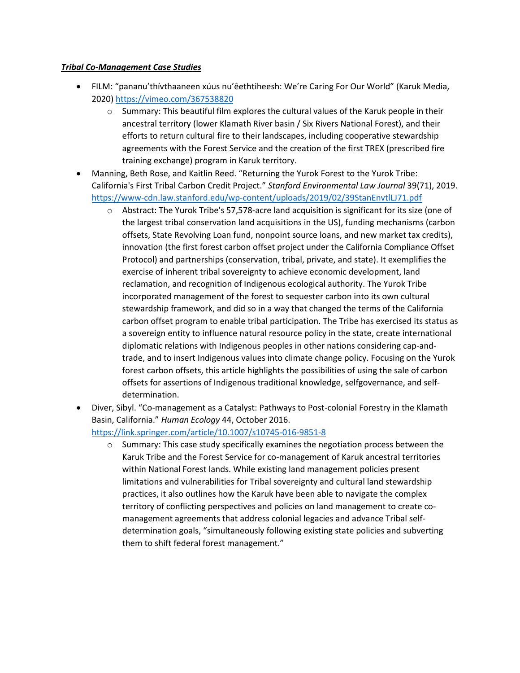## *Tribal Co-Management Case Studies*

- FILM: "pananu'thívthaaneen xúus nu'êethtiheesh: We're Caring For Our World" (Karuk Media, 2020)<https://vimeo.com/367538820>
	- $\circ$  Summary: This beautiful film explores the cultural values of the Karuk people in their ancestral territory (lower Klamath River basin / Six Rivers National Forest), and their efforts to return cultural fire to their landscapes, including cooperative stewardship agreements with the Forest Service and the creation of the first TREX (prescribed fire training exchange) program in Karuk territory.
- Manning, Beth Rose, and Kaitlin Reed. "Returning the Yurok Forest to the Yurok Tribe: California's First Tribal Carbon Credit Project." *Stanford Environmental Law Journal* 39(71), 2019. <https://www-cdn.law.stanford.edu/wp-content/uploads/2019/02/39StanEnvtlLJ71.pdf>
	- o Abstract: The Yurok Tribe's 57,578-acre land acquisition is significant for its size (one of the largest tribal conservation land acquisitions in the US), funding mechanisms (carbon offsets, State Revolving Loan fund, nonpoint source loans, and new market tax credits), innovation (the first forest carbon offset project under the California Compliance Offset Protocol) and partnerships (conservation, tribal, private, and state). It exemplifies the exercise of inherent tribal sovereignty to achieve economic development, land reclamation, and recognition of Indigenous ecological authority. The Yurok Tribe incorporated management of the forest to sequester carbon into its own cultural stewardship framework, and did so in a way that changed the terms of the California carbon offset program to enable tribal participation. The Tribe has exercised its status as a sovereign entity to influence natural resource policy in the state, create international diplomatic relations with Indigenous peoples in other nations considering cap-andtrade, and to insert Indigenous values into climate change policy. Focusing on the Yurok forest carbon offsets, this article highlights the possibilities of using the sale of carbon offsets for assertions of Indigenous traditional knowledge, selfgovernance, and selfdetermination.
- Diver, Sibyl. "Co-management as a Catalyst: Pathways to Post-colonial Forestry in the Klamath Basin, California." *Human Ecology* 44, October 2016.
	- <https://link.springer.com/article/10.1007/s10745-016-9851-8>
		- $\circ$  Summary: This case study specifically examines the negotiation process between the Karuk Tribe and the Forest Service for co-management of Karuk ancestral territories within National Forest lands. While existing land management policies present limitations and vulnerabilities for Tribal sovereignty and cultural land stewardship practices, it also outlines how the Karuk have been able to navigate the complex territory of conflicting perspectives and policies on land management to create comanagement agreements that address colonial legacies and advance Tribal selfdetermination goals, "simultaneously following existing state policies and subverting them to shift federal forest management."